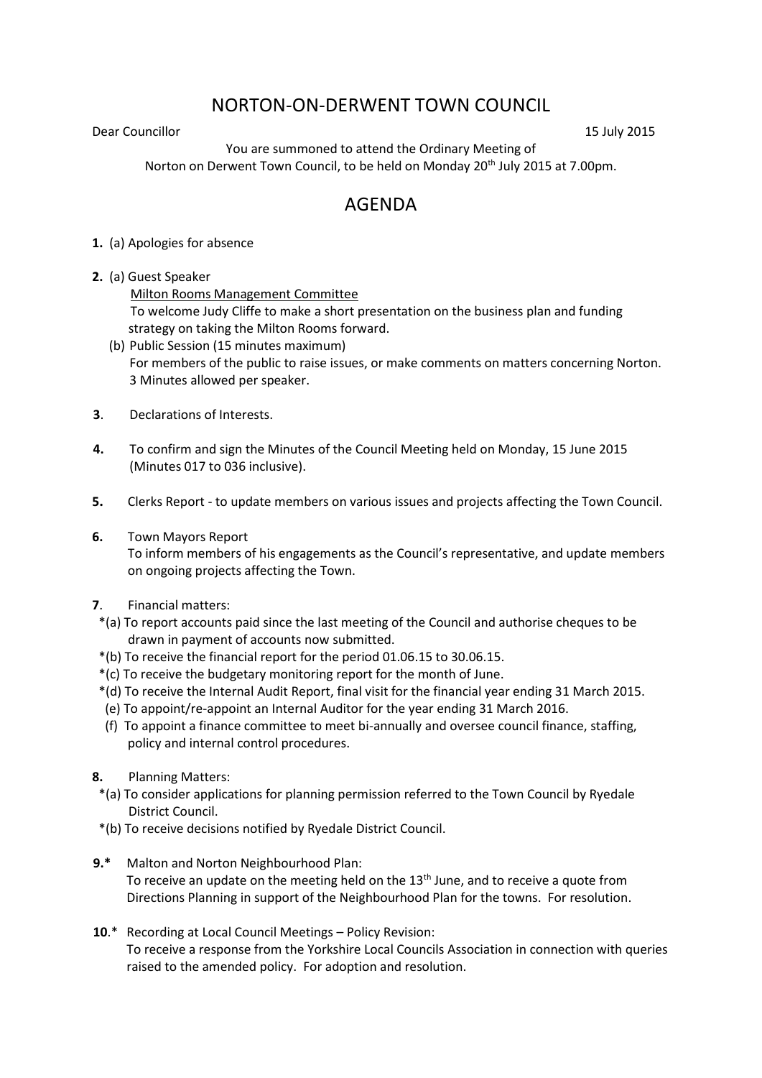## NORTON-ON-DERWENT TOWN COUNCIL

Dear Councillor 15 July 2015

You are summoned to attend the Ordinary Meeting of Norton on Derwent Town Council, to be held on Monday 20<sup>th</sup> July 2015 at 7.00pm.

## AGENDA

- **1.** (a) Apologies for absence
- **2.** (a) Guest Speaker

Milton Rooms Management Committee To welcome Judy Cliffe to make a short presentation on the business plan and funding strategy on taking the Milton Rooms forward.

- (b) Public Session (15 minutes maximum) For members of the public to raise issues, or make comments on matters concerning Norton. 3 Minutes allowed per speaker.
- **3**. Declarations of Interests.
- **4.** To confirm and sign the Minutes of the Council Meeting held on Monday, 15 June 2015 (Minutes 017 to 036 inclusive).
- **5.** Clerks Report to update members on various issues and projects affecting the Town Council.
- **6.** Town Mayors Report

 To inform members of his engagements as the Council's representative, and update members on ongoing projects affecting the Town.

- **7**. Financial matters:
- \*(a) To report accounts paid since the last meeting of the Council and authorise cheques to be drawn in payment of accounts now submitted.
- \*(b) To receive the financial report for the period 01.06.15 to 30.06.15.
- \*(c) To receive the budgetary monitoring report for the month of June.
- \*(d) To receive the Internal Audit Report, final visit for the financial year ending 31 March 2015.
- (e) To appoint/re-appoint an Internal Auditor for the year ending 31 March 2016.
- (f) To appoint a finance committee to meet bi-annually and oversee council finance, staffing, policy and internal control procedures.
- **8.** Planning Matters:
- \*(a) To consider applications for planning permission referred to the Town Council by Ryedale District Council.
- \*(b) To receive decisions notified by Ryedale District Council.
- **9.\*** Malton and Norton Neighbourhood Plan: To receive an update on the meeting held on the  $13<sup>th</sup>$  June, and to receive a quote from Directions Planning in support of the Neighbourhood Plan for the towns. For resolution.
- **10**.\* Recording at Local Council Meetings Policy Revision: To receive a response from the Yorkshire Local Councils Association in connection with queries raised to the amended policy. For adoption and resolution.